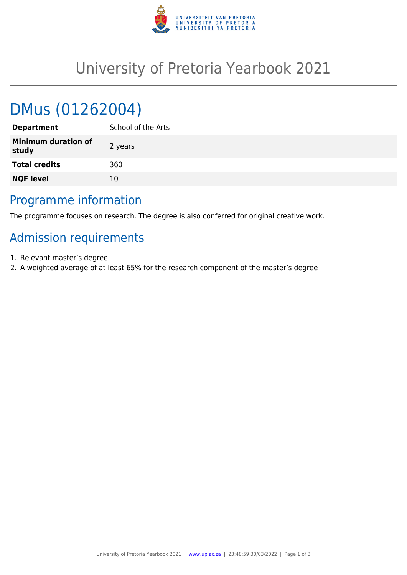

# University of Pretoria Yearbook 2021

# DMus (01262004)

| <b>Department</b>                   | School of the Arts |
|-------------------------------------|--------------------|
| <b>Minimum duration of</b><br>study | 2 years            |
| <b>Total credits</b>                | 360                |
| <b>NQF level</b>                    | 10                 |
|                                     |                    |

### Programme information

The programme focuses on research. The degree is also conferred for original creative work.

## Admission requirements

- 1. Relevant master's degree
- 2. A weighted average of at least 65% for the research component of the master's degree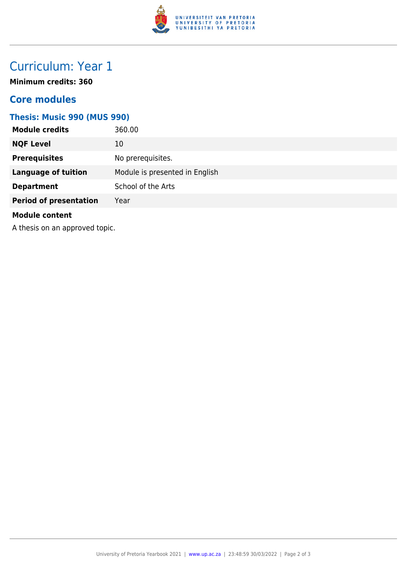

## Curriculum: Year 1

**Minimum credits: 360**

#### **Core modules**

#### **Thesis: Music 990 (MUS 990)**

| <b>Module credits</b>          | 360.00                         |
|--------------------------------|--------------------------------|
| <b>NQF Level</b>               | 10                             |
| <b>Prerequisites</b>           | No prerequisites.              |
| <b>Language of tuition</b>     | Module is presented in English |
| <b>Department</b>              | School of the Arts             |
| <b>Period of presentation</b>  | Year                           |
| <b>Module content</b>          |                                |
| A thesis on an approved topic. |                                |